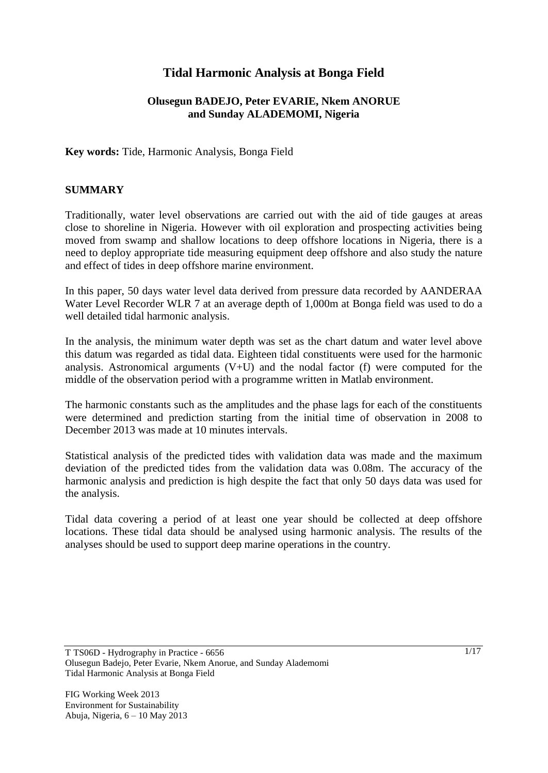# **Tidal Harmonic Analysis at Bonga Field**

## **Olusegun BADEJO, Peter EVARIE, Nkem ANORUE and Sunday ALADEMOMI, Nigeria**

## **Key words:** Tide, Harmonic Analysis, Bonga Field

#### **SUMMARY**

Traditionally, water level observations are carried out with the aid of tide gauges at areas close to shoreline in Nigeria. However with oil exploration and prospecting activities being moved from swamp and shallow locations to deep offshore locations in Nigeria, there is a need to deploy appropriate tide measuring equipment deep offshore and also study the nature and effect of tides in deep offshore marine environment.

In this paper, 50 days water level data derived from pressure data recorded by AANDERAA Water Level Recorder WLR 7 at an average depth of 1,000m at Bonga field was used to do a well detailed tidal harmonic analysis.

In the analysis, the minimum water depth was set as the chart datum and water level above this datum was regarded as tidal data. Eighteen tidal constituents were used for the harmonic analysis. Astronomical arguments  $(V+U)$  and the nodal factor (f) were computed for the middle of the observation period with a programme written in Matlab environment.

The harmonic constants such as the amplitudes and the phase lags for each of the constituents were determined and prediction starting from the initial time of observation in 2008 to December 2013 was made at 10 minutes intervals.

Statistical analysis of the predicted tides with validation data was made and the maximum deviation of the predicted tides from the validation data was 0.08m. The accuracy of the harmonic analysis and prediction is high despite the fact that only 50 days data was used for the analysis.

Tidal data covering a period of at least one year should be collected at deep offshore locations. These tidal data should be analysed using harmonic analysis. The results of the analyses should be used to support deep marine operations in the country.

T TS06D - Hydrography in Practice - 6656 Olusegun Badejo, Peter Evarie, Nkem Anorue, and Sunday Alademomi Tidal Harmonic Analysis at Bonga Field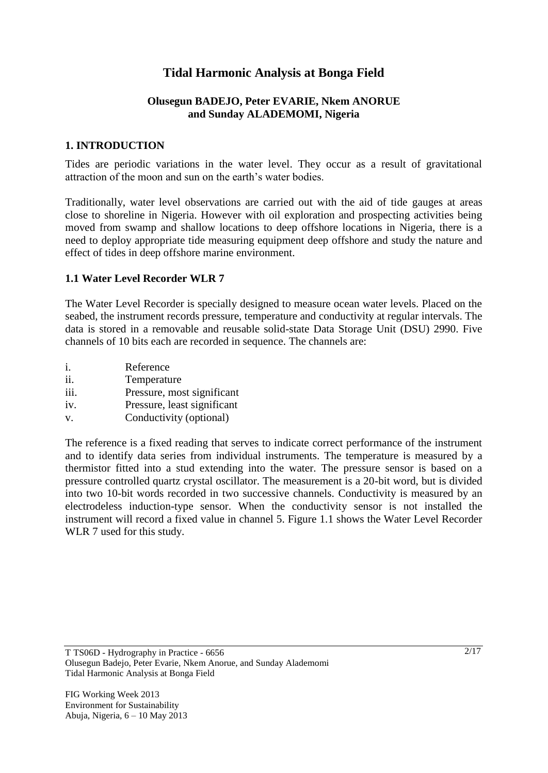# **Tidal Harmonic Analysis at Bonga Field**

## **Olusegun BADEJO, Peter EVARIE, Nkem ANORUE and Sunday ALADEMOMI, Nigeria**

## **1. INTRODUCTION**

Tides are periodic variations in the water level. They occur as a result of gravitational attraction of the moon and sun on the earth's water bodies.

Traditionally, water level observations are carried out with the aid of tide gauges at areas close to shoreline in Nigeria. However with oil exploration and prospecting activities being moved from swamp and shallow locations to deep offshore locations in Nigeria, there is a need to deploy appropriate tide measuring equipment deep offshore and study the nature and effect of tides in deep offshore marine environment.

## **1.1 Water Level Recorder WLR 7**

The Water Level Recorder is specially designed to measure ocean water levels. Placed on the seabed, the instrument records pressure, temperature and conductivity at regular intervals. The data is stored in a removable and reusable solid-state Data Storage Unit (DSU) 2990. Five channels of 10 bits each are recorded in sequence. The channels are:

| i.   | Reference                   |
|------|-----------------------------|
| ii.  | Temperature                 |
| iii. | Pressure, most significant  |
| iv.  | Pressure, least significant |
| V.   | Conductivity (optional)     |

The reference is a fixed reading that serves to indicate correct performance of the instrument and to identify data series from individual instruments. The temperature is measured by a thermistor fitted into a stud extending into the water. The pressure sensor is based on a pressure controlled quartz crystal oscillator. The measurement is a 20-bit word, but is divided into two 10-bit words recorded in two successive channels. Conductivity is measured by an electrodeless induction-type sensor. When the conductivity sensor is not installed the instrument will record a fixed value in channel 5. Figure 1.1 shows the Water Level Recorder WLR 7 used for this study.

T TS06D - Hydrography in Practice - 6656 Olusegun Badejo, Peter Evarie, Nkem Anorue, and Sunday Alademomi Tidal Harmonic Analysis at Bonga Field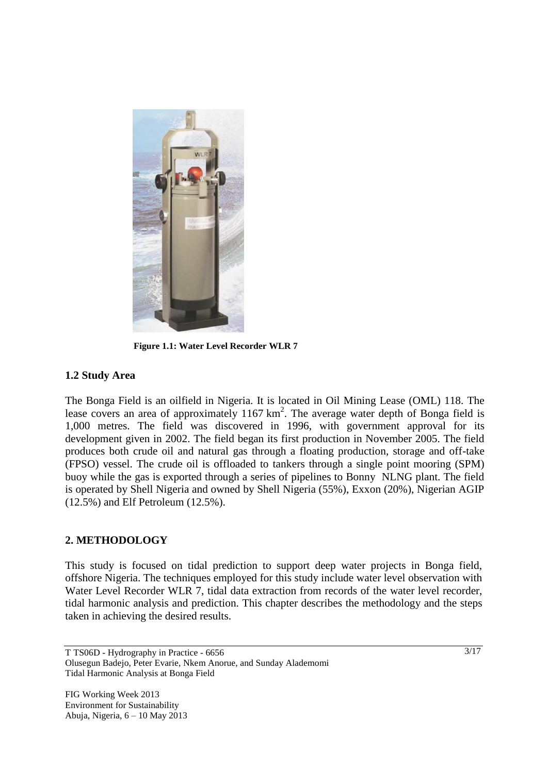

**Figure 1.1: Water Level Recorder WLR 7**

## **1.2 Study Area**

The Bonga Field is an oilfield in Nigeria. It is located in Oil Mining Lease (OML) 118. The lease covers an area of approximately  $1167 \text{ km}^2$ . The average water depth of Bonga field is 1,000 metres. The field was discovered in 1996, with government approval for its development given in 2002. The field began its first production in November 2005. The field produces both crude oil and natural gas through a floating production, storage and off-take (FPSO) vessel. The crude oil is offloaded to tankers through a single point mooring (SPM) buoy while the gas is exported through a series of pipelines to Bonny NLNG plant. The field is operated by Shell Nigeria and owned by Shell Nigeria (55%), Exxon (20%), Nigerian AGIP (12.5%) and Elf Petroleum (12.5%).

#### **2. METHODOLOGY**

This study is focused on tidal prediction to support deep water projects in Bonga field, offshore Nigeria. The techniques employed for this study include water level observation with Water Level Recorder WLR 7, tidal data extraction from records of the water level recorder, tidal harmonic analysis and prediction. This chapter describes the methodology and the steps taken in achieving the desired results.

T TS06D - Hydrography in Practice - 6656 Olusegun Badejo, Peter Evarie, Nkem Anorue, and Sunday Alademomi Tidal Harmonic Analysis at Bonga Field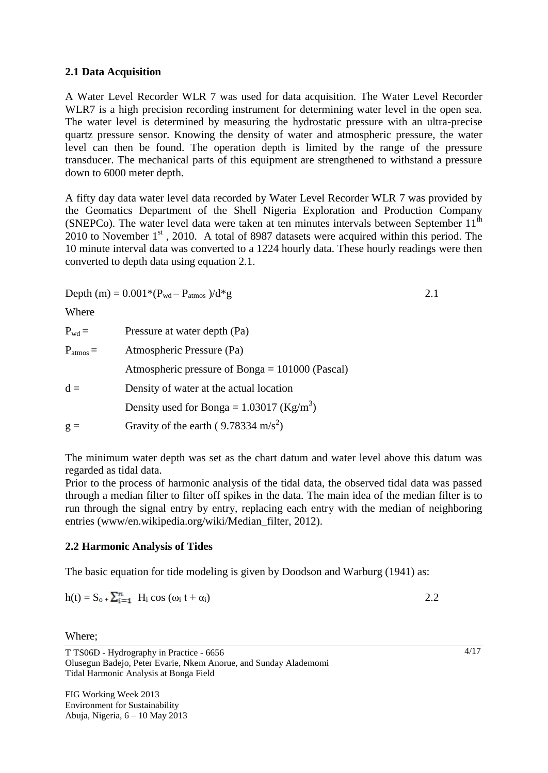#### **2.1 Data Acquisition**

A Water Level Recorder WLR 7 was used for data acquisition. The Water Level Recorder WLR7 is a high precision recording instrument for determining water level in the open sea. The water level is determined by measuring the hydrostatic pressure with an ultra-precise quartz pressure sensor. Knowing the density of water and atmospheric pressure, the water level can then be found. The operation depth is limited by the range of the pressure transducer. The mechanical parts of this equipment are strengthened to withstand a pressure down to 6000 meter depth.

A fifty day data water level data recorded by Water Level Recorder WLR 7 was provided by the Geomatics Department of the Shell Nigeria Exploration and Production Company (SNEPCo). The water level data were taken at ten minutes intervals between September  $11^{\text{th}}$ 2010 to November  $1<sup>st</sup>$ , 2010. A total of 8987 datasets were acquired within this period. The 10 minute interval data was converted to a 1224 hourly data. These hourly readings were then converted to depth data using equation 2.1.

Depth (m) =  $0.001*(P_{wd} - P_{atmos})/d*g$  2.1

Where

| $P_{wd} =$    | Pressure at water depth (Pa)                            |
|---------------|---------------------------------------------------------|
| $P_{atmos} =$ | Atmospheric Pressure (Pa)                               |
|               | Atmospheric pressure of Bonga $= 101000$ (Pascal)       |
| $d =$         | Density of water at the actual location                 |
|               | Density used for Bonga = $1.03017$ (Kg/m <sup>3</sup> ) |
| $g =$         | Gravity of the earth (9.78334 m/s <sup>2</sup> )        |

The minimum water depth was set as the chart datum and water level above this datum was regarded as tidal data.

Prior to the process of harmonic analysis of the tidal data, the observed tidal data was passed through a median filter to filter off spikes in the data. The main idea of the median filter is to run through the signal entry by entry, replacing each entry with the median of neighboring entries (www/en.wikipedia.org/wiki/Median\_filter, 2012).

#### **2.2 Harmonic Analysis of Tides**

The basic equation for tide modeling is given by Doodson and Warburg (1941) as:

$$
h(t) = S_{o+} \sum_{i=1}^{n} H_i \cos (\omega_i t + \alpha_i)
$$

Where;

T TS06D - Hydrography in Practice - 6656 Olusegun Badejo, Peter Evarie, Nkem Anorue, and Sunday Alademomi Tidal Harmonic Analysis at Bonga Field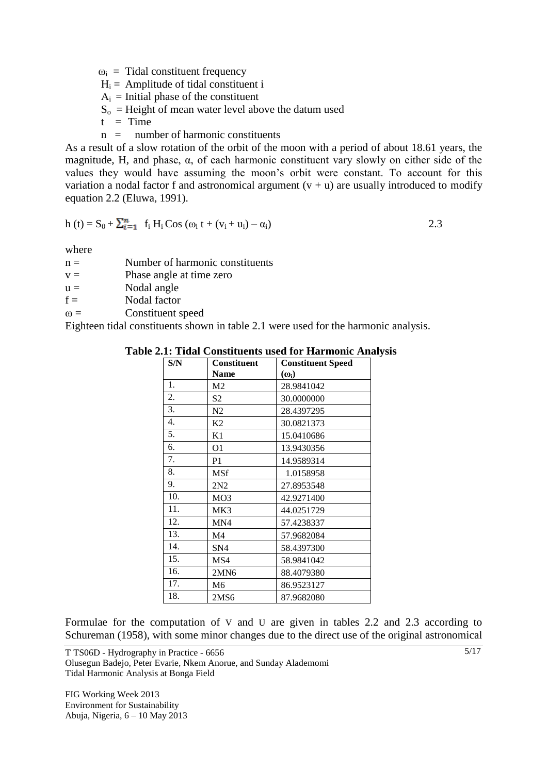$\omega_i$  = Tidal constituent frequency

 $H_i =$  Amplitude of tidal constituent i

 $A_i$  = Initial phase of the constituent

 $S<sub>o</sub>$  = Height of mean water level above the datum used

 $t = Time$ 

 $n =$  number of harmonic constituents

As a result of a slow rotation of the orbit of the moon with a period of about 18.61 years, the magnitude, H, and phase,  $\alpha$ , of each harmonic constituent vary slowly on either side of the values they would have assuming the moon's orbit were constant. To account for this variation a nodal factor f and astronomical argument  $(v + u)$  are usually introduced to modify equation 2.2 (Eluwa, 1991).

$$
h(t) = S_0 + \sum_{i=1}^{n} f_i H_i \cos (\omega_i t + (v_i + u_i) - \alpha_i)
$$
 (2.3)

where

 $n =$  Number of harmonic constituents

 $v =$  Phase angle at time zero

 $u =$  Nodal angle

 $f =$  Nodal factor

 $\omega =$  Constituent speed

Eighteen tidal constituents shown in table 2.1 were used for the harmonic analysis.

| S/N | <b>Constituent</b> | <b>Constituent Speed</b> |
|-----|--------------------|--------------------------|
|     | <b>Name</b>        | $(\omega_i)$             |
| 1.  | M <sub>2</sub>     | 28.9841042               |
| 2.  | S2                 | 30.0000000               |
| 3.  | N2                 | 28.4397295               |
| 4.  | K <sub>2</sub>     | 30.0821373               |
| 5.  | K1                 | 15.0410686               |
| 6.  | O <sub>1</sub>     | 13.9430356               |
| 7.  | P <sub>1</sub>     | 14.9589314               |
| 8.  | <b>MSf</b>         | 1.0158958                |
| 9.  | 2N2                | 27.8953548               |
| 10. | MO <sub>3</sub>    | 42.9271400               |
| 11. | MK3                | 44.0251729               |
| 12. | MN4                | 57.4238337               |
| 13. | M <sub>4</sub>     | 57.9682084               |
| 14. | SN <sub>4</sub>    | 58.4397300               |
| 15. | MS4                | 58.9841042               |
| 16. | 2MN6               | 88.4079380               |
| 17. | M <sub>6</sub>     | 86.9523127               |
| 18. | 2MS6               | 87.9682080               |

**Table 2.1: Tidal Constituents used for Harmonic Analysis**

Formulae for the computation of V and U are given in tables 2.2 and 2.3 according to Schureman (1958), with some minor changes due to the direct use of the original astronomical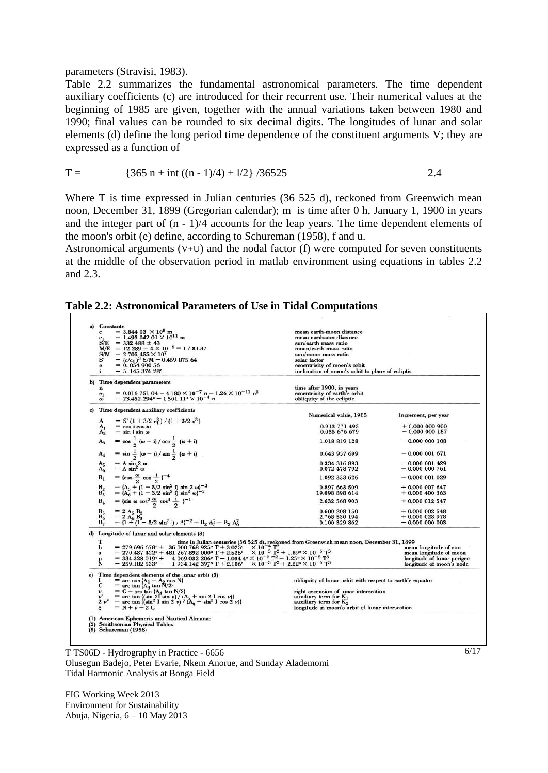parameters (Stravisi, 1983).

Table 2.2 summarizes the fundamental astronomical parameters. The time dependent auxiliary coefficients (c) are introduced for their recurrent use. Their numerical values at the beginning of 1985 are given, together with the annual variations taken between 1980 and 1990; final values can be rounded to six decimal digits. The longitudes of lunar and solar elements (d) define the long period time dependence of the constituent arguments V; they are expressed as a function of

$$
T = \{365 \text{ n} + \text{int} ((\text{n} - 1)/4) + 1/2\} / 36525 \qquad 2.4
$$

Where T is time expressed in Julian centuries (36 525 d), reckoned from Greenwich mean noon, December 31, 1899 (Gregorian calendar); m is time after 0 h, January 1, 1900 in years and the integer part of (n - 1)/4 accounts for the leap years. The time dependent elements of the moon's orbit (e) define, according to Schureman (1958), f and u.

Astronomical arguments  $(V+U)$  and the nodal factor (f) were computed for seven constituents at the middle of the observation period in matlab environment using equations in tables 2.2 and 2.3.

| Table 2.2: Astronomical Parameters of Use in Tidal Computations |  |  |  |  |
|-----------------------------------------------------------------|--|--|--|--|
|-----------------------------------------------------------------|--|--|--|--|

| $= 3.844 03 \times 10^8$ m                                                                                                                                                                                                                                                                                                                | mean earth-moon distance                                   |                            |
|-------------------------------------------------------------------------------------------------------------------------------------------------------------------------------------------------------------------------------------------------------------------------------------------------------------------------------------------|------------------------------------------------------------|----------------------------|
| $= 1.495 042 01 \times 10^{11}$ m                                                                                                                                                                                                                                                                                                         | mean earth-sun distance                                    |                            |
| $S/E = 332488 \pm 43$                                                                                                                                                                                                                                                                                                                     | sun/earth mass ratio                                       |                            |
| $M/E = 12289 \pm 4 \times 10^{-6} = 1/81.37$                                                                                                                                                                                                                                                                                              | moon/earth mass ratio                                      |                            |
| $S/M = 2.705455 \times 10^{7}$                                                                                                                                                                                                                                                                                                            | sun/moon mass ratio                                        |                            |
|                                                                                                                                                                                                                                                                                                                                           | solar factor                                               |                            |
| $= (c/c_1)^3$ S/M = 0.459 875 64<br>$= 0.05490056$                                                                                                                                                                                                                                                                                        | eccentricity of moon's orbit                               |                            |
| $= 5.14537628$ <sup>o</sup>                                                                                                                                                                                                                                                                                                               | inclination of moon's orbit to plane of ecliptic           |                            |
|                                                                                                                                                                                                                                                                                                                                           |                                                            |                            |
| Time dependent parameters                                                                                                                                                                                                                                                                                                                 |                                                            |                            |
|                                                                                                                                                                                                                                                                                                                                           | time after 1900, in years                                  |                            |
| = $0.01675104 - 4.180 \times 10^{-7}$ n - $1.26 \times 10^{-11}$ n <sup>2</sup><br>= $23.452294^{\circ} - 1.30111^{\circ} \times 10^{-4}$ n                                                                                                                                                                                               | eccentricity of earth's orbit<br>obliquity of the ecliptic |                            |
|                                                                                                                                                                                                                                                                                                                                           |                                                            |                            |
| Time dependent auxiliary coefficients                                                                                                                                                                                                                                                                                                     | Numerical value, 1985                                      | Increment, per year        |
| $= S'(1 + 3/2 e_1^2)/(1 + 3/2 e_1^2)$                                                                                                                                                                                                                                                                                                     |                                                            |                            |
| $=$ cos i cos $\omega$                                                                                                                                                                                                                                                                                                                    | 0.913 771 493                                              | $+0.000000900$             |
| $=$ sin i sin $\omega$                                                                                                                                                                                                                                                                                                                    | 0.035 676 679                                              | $-0.000000187$             |
| $=$ cos $\frac{1}{2}$ ( $\omega$ - i) / cos $\frac{1}{2}$ ( $\omega$ + i)                                                                                                                                                                                                                                                                 | 1.018 819 128                                              | $-0.000000108$             |
|                                                                                                                                                                                                                                                                                                                                           |                                                            |                            |
| = $\sin \frac{1}{2} (\omega - i) / \sin \frac{1}{2} (\omega + i)$                                                                                                                                                                                                                                                                         | 0.643 957 699                                              | $-0.000001671$             |
|                                                                                                                                                                                                                                                                                                                                           | 0.334 316 893                                              | $-0.000001429$             |
| = $A \sin 2 \omega$<br>= $A \sin^2 \omega$                                                                                                                                                                                                                                                                                                | 0.072 478 792                                              | $-0.000000761$             |
| = {cos $\frac{\omega}{2}$ cos $\frac{1}{2}$ } <sup>-4</sup>                                                                                                                                                                                                                                                                               | 1.092 333 626                                              | $-0.000001029$             |
|                                                                                                                                                                                                                                                                                                                                           | 0.897 663 509                                              | $+0.0000007647$            |
| = {A <sub>5</sub> + (1 - 3/2 sin <sup>2</sup> i) sin 2 $\omega$ } <sup>-2</sup><br>= {A <sub>6</sub> + (1 - 3/2 sin <sup>2</sup> i) sin <sup>2</sup> $\omega$ } <sup>-2</sup>                                                                                                                                                             | 19.098 898 614                                             | $+0.000$ 400 363           |
| = {sin $\omega \cos^2 \frac{\omega}{2} \cos^4 \frac{1}{2}$ } <sup>-1</sup>                                                                                                                                                                                                                                                                | 2.632 568 903                                              | $+0.000012547$             |
|                                                                                                                                                                                                                                                                                                                                           |                                                            |                            |
| $= 2 A_5 B_2$                                                                                                                                                                                                                                                                                                                             | 0.600 208 150                                              | $+0.000$ 002 548           |
| $= 2 A_6 B_3$                                                                                                                                                                                                                                                                                                                             | 2.768 530 194                                              | $+0.000$ 028 978           |
| $=$ {1 + (1 - 3/2 sin <sup>2</sup> i) / A} <sup>-2</sup> = B <sub>2</sub> A <sub>5</sub> <sup>2</sup> = B <sub>3</sub> A <sub>6</sub> <sup>2</sup>                                                                                                                                                                                        | 0.100 329 862                                              | $-0.000000003$             |
| d) Longitude of lunar and solar elements (3)                                                                                                                                                                                                                                                                                              |                                                            |                            |
| time in Julian centuries (36 525 d), reckoned from Greenwich mean noon, December 31, 1899                                                                                                                                                                                                                                                 |                                                            |                            |
|                                                                                                                                                                                                                                                                                                                                           |                                                            | mean longitude of sun      |
|                                                                                                                                                                                                                                                                                                                                           |                                                            | mean longitude of moon     |
|                                                                                                                                                                                                                                                                                                                                           |                                                            | longitude of lunar perigee |
| = 279.696 678° + 36 000.768 925° T + 3.025° X 10 <sup>-4</sup> T <sup>2</sup><br>= 270.437 422° + 481 267.892 000° T + 2.525° × 10 <sup>-3</sup> T <sup>2</sup> + 1.89° × 10 <sup>-4</sup> T <sup>2</sup><br>= 334.328 019° + 4069.032 206° T - 1.034 4° × 10 <sup>-2</sup> T <sup>2</sup> - 1.25° × 10 <sup>-5</sup> T <sup>3</sup><br>= |                                                            | longitude of moon's node   |
| Time dependent elements of the lunar orbit (3)                                                                                                                                                                                                                                                                                            |                                                            |                            |
|                                                                                                                                                                                                                                                                                                                                           | obliquity of lunar orbit with respect to earth's equator   |                            |
| = arc cos $\{A_1 - A_2 \cos N\}$<br>= arc tan $\{A_3 \tan N/2\}$                                                                                                                                                                                                                                                                          |                                                            |                            |
| $= C -$ arc tan $\{A_4 \text{ tan } N/2\}$                                                                                                                                                                                                                                                                                                | right ascension of lunar intersection                      |                            |
| = arc tan $\{(\sin 2\Gamma \sin \nu) / (\Lambda_5 + \sin 2\Gamma \cos \nu)\}$                                                                                                                                                                                                                                                             | auxiliary term for $K_1$                                   |                            |
| = arc tan $(\sin^2 I \sin 2 \nu) / (\mathbf{A}_6 + \sin^2 I \cos 2 \nu)$                                                                                                                                                                                                                                                                  | auxiliary term for $K_2$                                   |                            |
| $=N+v-2C$                                                                                                                                                                                                                                                                                                                                 | longitude in moon's orbit of lunar intersection            |                            |
| (1) American Ephemeris and Nautical Almanac                                                                                                                                                                                                                                                                                               |                                                            |                            |
| <b>Smithsonian Physical Tables</b>                                                                                                                                                                                                                                                                                                        |                                                            |                            |
| Schureman (1958)                                                                                                                                                                                                                                                                                                                          |                                                            |                            |
|                                                                                                                                                                                                                                                                                                                                           |                                                            |                            |
|                                                                                                                                                                                                                                                                                                                                           |                                                            |                            |
|                                                                                                                                                                                                                                                                                                                                           | $\sqrt{ }$<br>$\epsilon$ , $\epsilon$                      |                            |

T TS06D - Hydrography in Practice - 6656 Olusegun Badejo, Peter Evarie, Nkem Anorue, and Sunday Alademomi Tidal Harmonic Analysis at Bonga Field

FIG Working Week 2013 Environment for Sustainability Abuja, Nigeria, 6 – 10 May 2013 6/17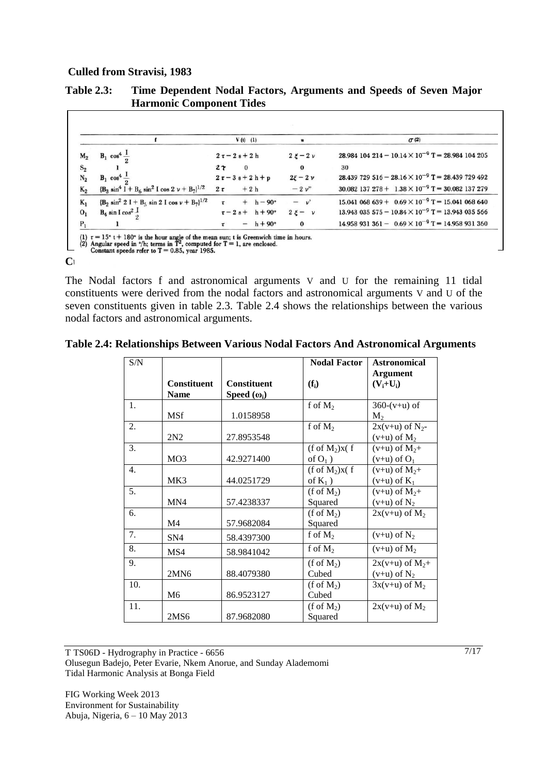#### **Culled from Stravisi, 1983**

|                |                                                        | $V(t)$ (1)                    |               | $\sigma$ (2)                                                          |
|----------------|--------------------------------------------------------|-------------------------------|---------------|-----------------------------------------------------------------------|
|                |                                                        |                               |               |                                                                       |
| $M_2$          | $B_1 \cos^4 \frac{I}{\epsilon}$                        | $2\tau-2s+2h$                 | $2\xi-2\nu$   | $28.984$ 104 214 - 10.14 $\times$ 10 <sup>-9</sup> T = 28.984 104 205 |
| $S_2$          |                                                        | $2\tau$<br>$\bf{0}$           | $\bf{0}$      | 30                                                                    |
| $N_2$          | $B_1 \cos^4 \frac{1}{2}$                               | $2\tau-3s+2h+p$               | $2\xi - 2\nu$ | 28.439 729 516 - 28.16 $\times$ 10 <sup>-9</sup> T = 28.439 729 492   |
| $K_2$          | $(B_3 \sin^4 I + B_6 \sin^2 I \cos 2 \nu + B_7)^{1/2}$ | $+2h$<br>$2\tau$              | $-2v''$       | $30.082$ 137 278 + 1.38 $\times$ 10 <sup>-9</sup> T = 30.082 137 279  |
| $K_1$          | $(B_2 \sin^2 2 I + B_5 \sin 2 I \cos \nu + B_7)^{1/2}$ | $+ h - 90^\circ$              | $-\nu$        | 15.041 068 639 + $0.69 \times 10^{-9}$ T = 15.041 068 640             |
| 0 <sub>1</sub> | $B_4 \sin I \cos^2 \frac{I}{2}$                        | $\tau - 2 s + h + 90^{\circ}$ | $2\xi - \nu$  | 13.943 035 575 - $10.84 \times 10^{-9}$ T = 13.943 035 566            |
| $P_1$          |                                                        | $- h + 90^\circ$              | $\bf{0}$      | 14.958 931 361 - $0.69 \times 10^{-9}$ T = 14.958 931 360             |

# **Table 2.3: Time Dependent Nodal Factors, Arguments and Speeds of Seven Major**

(2) Angular speed in  $\degree$ /h; terms in T<sup>2</sup>, computed for T = 1, are enclosed.<br>Constant speeds refer to T = 0.85, year 1985.

#### **Culled from Strawisi, 1983**

The Nodal factors f and astronomical arguments V and U for the remaining 11 tidal constituents were derived from the nodal factors and astronomical arguments V and U of the seven constituents given in table 2.3. Table 2.4 shows the relationships between the various nodal factors and astronomical arguments.

| Table 2.4: Relationships Between Various Nodal Factors And Astronomical Arguments |  |  |
|-----------------------------------------------------------------------------------|--|--|
|                                                                                   |  |  |

| S/N |                    |                    | <b>Nodal Factor</b>   | <b>Astronomical</b>  |
|-----|--------------------|--------------------|-----------------------|----------------------|
|     |                    |                    |                       | <b>Argument</b>      |
|     | <b>Constituent</b> | Constituent        | $(f_i)$               | $(V_i+U_i)$          |
|     | <b>Name</b>        | Speed $(\omega_i)$ |                       |                      |
| 1.  |                    |                    | f of $M_2$            | $360-(v+u)$ of       |
|     | <b>MSf</b>         | 1.0158958          |                       | $M_{2}$              |
| 2.  |                    |                    | f of $M_2$            | $2x(v+u)$ of $N_2$ - |
|     | 2N2                | 27.8953548         |                       | $(v+u)$ of $M_2$     |
| 3.  |                    |                    | $(f \circ f M_2)x(f)$ | $(v+u)$ of $M_2+$    |
|     | MO <sub>3</sub>    | 42.9271400         | of $O_1$ )            | $(v+u)$ of $O_1$     |
| 4.  |                    |                    | $(f \circ f M_2)x(f)$ | $(v+u)$ of $M_2+$    |
|     | MK3                | 44.0251729         | of $K_1$ )            | $(v+u)$ of $K_1$     |
| 5.  |                    |                    | $(f \circ f M_2)$     | $(v+u)$ of $M_2+$    |
|     | MN4                | 57.4238337         | Squared               | $(v+u)$ of $N_2$     |
| 6.  |                    |                    | $(f \circ f M_2)$     | $2x(v+u)$ of $M_2$   |
|     | M <sub>4</sub>     | 57.9682084         | Squared               |                      |
| 7.  | SN <sub>4</sub>    | 58.4397300         | f of $M_2$            | $(v+u)$ of $N_2$     |
| 8.  | MS4                | 58.9841042         | f of $M_2$            | $(v+u)$ of $M_2$     |
| 9.  |                    |                    | $(f \circ f M_2)$     | $2x(v+u)$ of $M_2+$  |
|     | 2MN6               | 88.4079380         | Cubed                 | $(v+u)$ of $N_2$     |
| 10. |                    |                    | $(f \circ f M_2)$     | $3x(v+u)$ of $M_2$   |
|     | M <sub>6</sub>     | 86.9523127         | Cubed                 |                      |
| 11. |                    |                    | $(f \circ f M_2)$     | $2x(v+u)$ of $M_2$   |
|     | 2MS6               | 87.9682080         | Squared               |                      |

T TS06D - Hydrography in Practice - 6656 Olusegun Badejo, Peter Evarie, Nkem Anorue, and Sunday Alademomi Tidal Harmonic Analysis at Bonga Field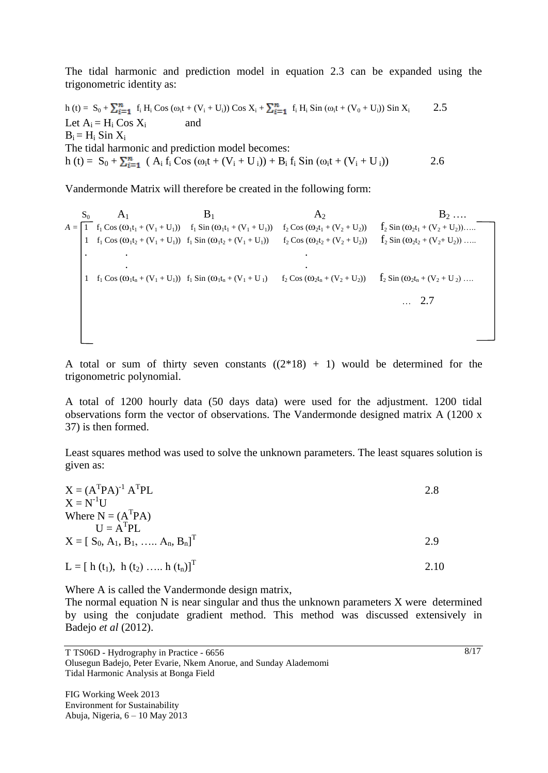The tidal harmonic and prediction model in equation 2.3 can be expanded using the trigonometric identity as:

 $h(t) = S_0 + \sum_{i=1}^n f_i H_i \cos (\omega_i t + (V_i + U_i)) \cos X_i + \sum_{i=1}^n f_i H_i \sin (\omega_i t + (V_0 + U_i)) \sin X_i$  2.5 Let  $A_i = H_i \text{Cos } X_i$  and  $B_i = H_i$  Sin  $X_i$ The tidal harmonic and prediction model becomes: h (t) =  $S_0 + \sum_{i=1}^n (A_i f_i \cos (\omega_i t + (V_i + U_i)) + B_i f_i \sin (\omega_i t + (V_i + U_i))$  2.6

Vandermonde Matrix will therefore be created in the following form:

 $S_0$   $A_1$   $B_1$   $A_2$   $B_2$  ...  $A = \begin{bmatrix} 1 & f_1 \cos{(\omega_1 t_1 + (\nu_1 + U_1))} & f_1 \sin{(\omega_1 t_1 + (\nu_1 + U_1))} & f_2 \cos{(\omega_2 t_1 + (\nu_2 + U_2))} & f_2 \sin{(\omega_2 t_1 + (\nu_2 + U_2))} \dots \end{bmatrix}$ 1  $f_1 \text{Cos } (\omega_1 t_2 + (V_1 + U_1))$   $f_1 \text{Sin } (\omega_1 t_2 + (V_1 + U_1))$   $f_2 \text{Cos } (\omega_2 t_2 + (V_2 + U_2))$   $f_2 \text{Sin } (\omega_2 t_2 + (V_2 + U_2))$  ... . . . . . 1  $f_1 \text{Cos } (\omega_1 t_n + (V_1 + U_1))$   $f_1 \text{Sin } (\omega_1 t_n + (V_1 + U_1))$   $f_2 \text{Cos } (\omega_2 t_n + (V_2 + U_2))$   $f_2 \text{Sin } (\omega_2 t_n + (V_2 + U_2))$  ... … 2.7

A total or sum of thirty seven constants  $((2*18) + 1)$  would be determined for the trigonometric polynomial.

A total of 1200 hourly data (50 days data) were used for the adjustment. 1200 tidal observations form the vector of observations. The Vandermonde designed matrix A (1200 x 37) is then formed.

Least squares method was used to solve the unknown parameters. The least squares solution is given as:

 $X = (A^T P A)^{-1} A^T$ PL  $2.8$  $X = N^{-1}U$ Where  $N = (A^T P A)$  $U = A<sup>T</sup>PL$  $X = [S_0, A_1, B_1, \ldots, A_n, B_n]^T$  2.9  $L = [ h(t_1), h(t_2), ..., h(t_n) ]^T$ 2.10

Where A is called the Vandermonde design matrix,

The normal equation N is near singular and thus the unknown parameters X were determined by using the conjudate gradient method. This method was discussed extensively in Badejo *et al* (2012).

T TS06D - Hydrography in Practice - 6656 Olusegun Badejo, Peter Evarie, Nkem Anorue, and Sunday Alademomi Tidal Harmonic Analysis at Bonga Field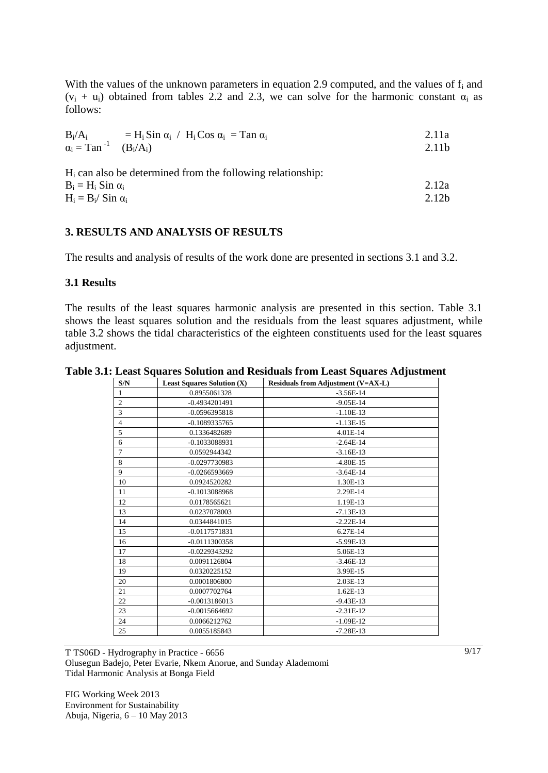With the values of the unknown parameters in equation 2.9 computed, and the values of  $f_i$  and  $(v_i + u_i)$  obtained from tables 2.2 and 2.3, we can solve for the harmonic constant  $\alpha_i$  as follows:

| $B_i/A_i$<br>$=$ H <sub>i</sub> Sin $\alpha_i$ / H <sub>i</sub> Cos $\alpha_i$ = Tan $\alpha_i$ | 2.11a             |
|-------------------------------------------------------------------------------------------------|-------------------|
| $\alpha_i = \text{Tan}^{-1}$ $(B_i/A_i)$                                                        | 2.11 <sub>b</sub> |
| $H_i$ can also be determined from the following relationship:                                   |                   |
|                                                                                                 |                   |
| $B_i = H_i$ Sin $\alpha_i$                                                                      | 2.12a             |
| $H_i = B_i / \sin \alpha_i$                                                                     | 2.12 <sub>b</sub> |

#### **3. RESULTS AND ANALYSIS OF RESULTS**

The results and analysis of results of the work done are presented in sections 3.1 and 3.2.

#### **3.1 Results**

The results of the least squares harmonic analysis are presented in this section. Table 3.1 shows the least squares solution and the residuals from the least squares adjustment, while table 3.2 shows the tidal characteristics of the eighteen constituents used for the least squares adjustment.

|  |  |  |  | Table 3.1: Least Squares Solution and Residuals from Least Squares Adjustment |  |  |
|--|--|--|--|-------------------------------------------------------------------------------|--|--|
|--|--|--|--|-------------------------------------------------------------------------------|--|--|

| S/N            | <b>Least Squares Solution (X)</b> | <b>Residuals from Adjustment (V=AX-L)</b> |
|----------------|-----------------------------------|-------------------------------------------|
| 1              | 0.8955061328                      | $-3.56E-14$                               |
| $\overline{c}$ | $-0.4934201491$                   | $-9.05E-14$                               |
| 3              | $-0.0596395818$                   | $-1.10E-13$                               |
| $\overline{4}$ | $-0.1089335765$                   | $-1.13E-15$                               |
| 5              | 0.1336482689                      | 4.01E-14                                  |
| 6              | $-0.1033088931$                   | $-2.64E-14$                               |
| $\overline{7}$ | 0.0592944342                      | $-3.16E-13$                               |
| 8              | $-0.0297730983$                   | $-4.80E-15$                               |
| 9              | $-0.0266593669$                   | $-3.64E-14$                               |
| 10             | 0.0924520282                      | 1.30E-13                                  |
| 11             | $-0.1013088968$                   | 2.29E-14                                  |
| 12             | 0.0178565621                      | 1.19E-13                                  |
| 13             | 0.0237078003                      | $-7.13E-13$                               |
| 14             | 0.0344841015                      | $-2.22E-14$                               |
| 15             | $-0.0117571831$                   | 6.27E-14                                  |
| 16             | $-0.0111300358$                   | $-5.99E-13$                               |
| 17             | $-0.0229343292$                   | 5.06E-13                                  |
| 18             | 0.0091126804                      | $-3.46E-13$                               |
| 19             | 0.0320225152                      | 3.99E-15                                  |
| 20             | 0.0001806800                      | 2.03E-13                                  |
| 21             | 0.0007702764                      | $1.62E-13$                                |
| 22             | $-0.0013186013$                   | $-9.43E-13$                               |
| 23             | $-0.0015664692$                   | $-2.31E-12$                               |
| 24             | 0.0066212762                      | $-1.09E-12$                               |
| 25             | 0.0055185843                      | $-7.28E-13$                               |

T TS06D - Hydrography in Practice - 6656 Olusegun Badejo, Peter Evarie, Nkem Anorue, and Sunday Alademomi Tidal Harmonic Analysis at Bonga Field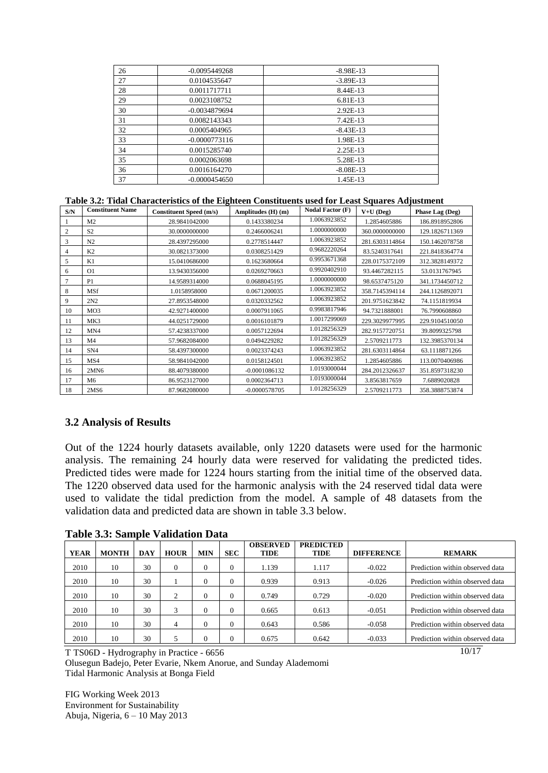| 26 | $-0.0095449268$ | $-8.98E-13$ |
|----|-----------------|-------------|
| 27 | 0.0104535647    | $-3.89E-13$ |
| 28 | 0.0011717711    | 8.44E-13    |
| 29 | 0.0023108752    | 6.81E-13    |
| 30 | $-0.0034879694$ | 2.92E-13    |
| 31 | 0.0082143343    | 7.42E-13    |
| 32 | 0.0005404965    | $-8.43E-13$ |
| 33 | $-0.0000773116$ | 1.98E-13    |
| 34 | 0.0015285740    | 2.25E-13    |
| 35 | 0.0002063698    | 5.28E-13    |
| 36 | 0.0016164270    | $-8.08E-13$ |
| 37 | $-0.0000454650$ | 1.45E-13    |

#### **Table 3.2: Tidal Characteristics of the Eighteen Constituents used for Least Squares Adjustment**

| S/N | <b>Constituent Name</b> | <b>Constituent Speed (m/s)</b> | Amplitudes (H) (m) | <b>Nodal Factor (F)</b> | $V+U$ (Deg)    | Phase Lag (Deg) |
|-----|-------------------------|--------------------------------|--------------------|-------------------------|----------------|-----------------|
|     | M <sub>2</sub>          | 28.9841042000                  | 0.1433380234       | 1.0063923852            | 1.2854605886   | 186.8918952806  |
| 2   | S <sub>2</sub>          | 30.0000000000                  | 0.2466006241       | 1.0000000000            | 360.0000000000 | 129.1826711369  |
| 3   | N <sub>2</sub>          | 28.4397295000                  | 0.2778514447       | 1.0063923852            | 281.6303114864 | 150.1462078758  |
| 4   | K <sub>2</sub>          | 30.0821373000                  | 0.0308251429       | 0.9682220264            | 83.5240317641  | 221.8418364774  |
| 5   | K1                      | 15.0410686000                  | 0.1623680664       | 0.9953671368            | 228.0175372109 | 312.3828149372  |
| 6   | O <sub>1</sub>          | 13.9430356000                  | 0.0269270663       | 0.9920402910            | 93.4467282115  | 53.0131767945   |
| 7   | P <sub>1</sub>          | 14.9589314000                  | 0.0688045195       | 1.0000000000            | 98.6537475120  | 341.1734450712  |
| 8   | <b>MSf</b>              | 1.0158958000                   | 0.0671200035       | 1.0063923852            | 358.7145394114 | 244.1126892071  |
| 9   | 2N2                     | 27.8953548000                  | 0.0320332562       | 1.0063923852            | 201.9751623842 | 74.1151819934   |
| 10  | MO3                     | 42.9271400000                  | 0.0007911065       | 0.9983817946            | 94.7321888001  | 76.7990608860   |
| 11  | MK3                     | 44.0251729000                  | 0.0016101879       | 1.0017299069            | 229.3029977995 | 229.9104510050  |
| 12  | MN4                     | 57.4238337000                  | 0.0057122694       | 1.0128256329            | 282.9157720751 | 39.8099325798   |
| 13  | M <sub>4</sub>          | 57.9682084000                  | 0.0494229282       | 1.0128256329            | 2.5709211773   | 132.3985370134  |
| 14  | SN <sub>4</sub>         | 58.4397300000                  | 0.0023374243       | 1.0063923852            | 281.6303114864 | 63.1118871266   |
| 15  | MS4                     | 58.9841042000                  | 0.0158124501       | 1.0063923852            | 1.2854605886   | 113.0070406986  |
| 16  | 2MN6                    | 88.4079380000                  | $-0.0001086132$    | 1.0193000044            | 284.2012326637 | 351.8597318230  |
| 17  | M6                      | 86.9523127000                  | 0.0002364713       | 1.0193000044            | 3.8563817659   | 7.6889020828    |
| 18  | 2MS6                    | 87.9682080000                  | $-0.0000578705$    | 1.0128256329            | 2.5709211773   | 358.3888753874  |

#### **3.2 Analysis of Results**

Out of the 1224 hourly datasets available, only 1220 datasets were used for the harmonic analysis. The remaining 24 hourly data were reserved for validating the predicted tides. Predicted tides were made for 1224 hours starting from the initial time of the observed data. The 1220 observed data used for the harmonic analysis with the 24 reserved tidal data were used to validate the tidal prediction from the model. A sample of 48 datasets from the validation data and predicted data are shown in table 3.3 below.

**Table 3.3: Sample Validation Data**

|             |              |            |              |            |            | <b>OBSERVED</b> | <b>PREDICTED</b> |                   |                                 |
|-------------|--------------|------------|--------------|------------|------------|-----------------|------------------|-------------------|---------------------------------|
| <b>YEAR</b> | <b>MONTH</b> | <b>DAY</b> | <b>HOUR</b>  | <b>MIN</b> | <b>SEC</b> | TIDE            | TIDE             | <b>DIFFERENCE</b> | <b>REMARK</b>                   |
| 2010        | 10           | 30         | $\mathbf{0}$ | $\Omega$   | 0          | 1.139           | 1.117            | $-0.022$          | Prediction within observed data |
| 2010        | 10           | 30         |              | $\Omega$   | 0          | 0.939           | 0.913            | $-0.026$          | Prediction within observed data |
| 2010        | 10           | 30         | 2            | $\Omega$   | 0          | 0.749           | 0.729            | $-0.020$          | Prediction within observed data |
| 2010        | 10           | 30         | 3            | $\Omega$   | 0          | 0.665           | 0.613            | $-0.051$          | Prediction within observed data |
| 2010        | 10           | 30         | 4            | $\Omega$   | 0          | 0.643           | 0.586            | $-0.058$          | Prediction within observed data |
| 2010        | 10           | 30         |              |            | 0          | 0.675           | 0.642            | $-0.033$          | Prediction within observed data |

T TS06D - Hydrography in Practice - 6656

Olusegun Badejo, Peter Evarie, Nkem Anorue, and Sunday Alademomi Tidal Harmonic Analysis at Bonga Field

FIG Working Week 2013 Environment for Sustainability Abuja, Nigeria, 6 – 10 May 2013 10/17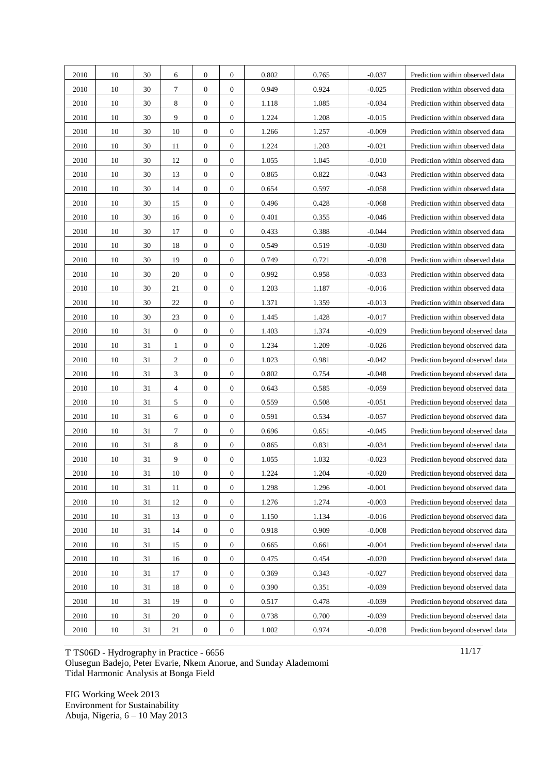| 2010 | 10     | 30 | 6                | $\overline{0}$   | $\overline{0}$   | 0.802 | 0.765 | $-0.037$ | Prediction within observed data |
|------|--------|----|------------------|------------------|------------------|-------|-------|----------|---------------------------------|
| 2010 | 10     | 30 | 7                | $\mathbf{0}$     | $\boldsymbol{0}$ | 0.949 | 0.924 | $-0.025$ | Prediction within observed data |
| 2010 | 10     | 30 | 8                | $\mathbf{0}$     | $\overline{0}$   | 1.118 | 1.085 | $-0.034$ | Prediction within observed data |
| 2010 | 10     | 30 | 9                | $\mathbf{0}$     | $\boldsymbol{0}$ | 1.224 | 1.208 | $-0.015$ | Prediction within observed data |
| 2010 | 10     | 30 | 10               | $\mathbf{0}$     | $\overline{0}$   | 1.266 | 1.257 | $-0.009$ | Prediction within observed data |
| 2010 | 10     | 30 | 11               | $\mathbf{0}$     | $\boldsymbol{0}$ | 1.224 | 1.203 | $-0.021$ | Prediction within observed data |
| 2010 | 10     | 30 | 12               | $\mathbf{0}$     | $\boldsymbol{0}$ | 1.055 | 1.045 | $-0.010$ | Prediction within observed data |
| 2010 | 10     | 30 | 13               | $\mathbf{0}$     | $\overline{0}$   | 0.865 | 0.822 | $-0.043$ | Prediction within observed data |
| 2010 | 10     | 30 | 14               | $\mathbf{0}$     | $\boldsymbol{0}$ | 0.654 | 0.597 | $-0.058$ | Prediction within observed data |
| 2010 | 10     | 30 | 15               | $\mathbf{0}$     | $\theta$         | 0.496 | 0.428 | $-0.068$ | Prediction within observed data |
| 2010 | 10     | 30 | 16               | $\mathbf{0}$     | $\boldsymbol{0}$ | 0.401 | 0.355 | $-0.046$ | Prediction within observed data |
| 2010 | 10     | 30 | 17               | $\boldsymbol{0}$ | $\overline{0}$   | 0.433 | 0.388 | $-0.044$ | Prediction within observed data |
| 2010 | 10     | 30 | 18               | $\mathbf{0}$     | $\mathbf{0}$     | 0.549 | 0.519 | $-0.030$ | Prediction within observed data |
| 2010 | 10     | 30 | 19               | $\mathbf{0}$     | $\boldsymbol{0}$ | 0.749 | 0.721 | $-0.028$ | Prediction within observed data |
| 2010 | 10     | 30 | 20               | $\mathbf{0}$     | $\mathbf{0}$     | 0.992 | 0.958 | $-0.033$ | Prediction within observed data |
| 2010 | 10     | 30 | 21               | $\boldsymbol{0}$ | $\boldsymbol{0}$ | 1.203 | 1.187 | $-0.016$ | Prediction within observed data |
| 2010 | 10     | 30 | 22               | $\mathbf{0}$     | $\boldsymbol{0}$ | 1.371 | 1.359 | $-0.013$ | Prediction within observed data |
| 2010 | 10     | 30 | 23               | $\mathbf{0}$     | $\boldsymbol{0}$ | 1.445 | 1.428 | $-0.017$ | Prediction within observed data |
| 2010 | 10     | 31 | $\boldsymbol{0}$ | $\mathbf{0}$     | $\boldsymbol{0}$ | 1.403 | 1.374 | $-0.029$ | Prediction beyond observed data |
| 2010 | 10     | 31 | $\mathbf{1}$     | $\mathbf{0}$     | $\overline{0}$   | 1.234 | 1.209 | $-0.026$ | Prediction beyond observed data |
| 2010 | 10     | 31 | $\overline{c}$   | $\mathbf{0}$     | $\boldsymbol{0}$ | 1.023 | 0.981 | $-0.042$ | Prediction beyond observed data |
| 2010 | 10     | 31 | 3                | $\boldsymbol{0}$ | $\boldsymbol{0}$ | 0.802 | 0.754 | $-0.048$ | Prediction beyond observed data |
| 2010 | 10     | 31 | $\overline{4}$   | $\mathbf{0}$     | $\boldsymbol{0}$ | 0.643 | 0.585 | $-0.059$ | Prediction beyond observed data |
| 2010 | 10     | 31 | 5                | $\mathbf{0}$     | $\boldsymbol{0}$ | 0.559 | 0.508 | $-0.051$ | Prediction beyond observed data |
| 2010 | 10     | 31 | 6                | $\mathbf{0}$     | $\mathbf{0}$     | 0.591 | 0.534 | $-0.057$ | Prediction beyond observed data |
| 2010 | 10     | 31 | 7                | $\mathbf{0}$     | $\boldsymbol{0}$ | 0.696 | 0.651 | $-0.045$ | Prediction beyond observed data |
| 2010 | 10     | 31 | 8                | $\mathbf{0}$     | $\overline{0}$   | 0.865 | 0.831 | $-0.034$ | Prediction beyond observed data |
| 2010 | 10     | 31 | 9                | $\boldsymbol{0}$ | $\boldsymbol{0}$ | 1.055 | 1.032 | $-0.023$ | Prediction beyond observed data |
| 2010 | $10\,$ | 31 | 10               | $\mathbf{0}$     | $\boldsymbol{0}$ | 1.224 | 1.204 | $-0.020$ | Prediction beyond observed data |
| 2010 | 10     | 31 | 11               | $\mathbf{0}$     | $\mathbf{0}$     | 1.298 | 1.296 | $-0.001$ | Prediction beyond observed data |
| 2010 | 10     | 31 | 12               | $\boldsymbol{0}$ | $\mathbf{0}$     | 1.276 | 1.274 | $-0.003$ | Prediction beyond observed data |
| 2010 | 10     | 31 | 13               | $\mathbf{0}$     | $\mathbf{0}$     | 1.150 | 1.134 | $-0.016$ | Prediction beyond observed data |
| 2010 | 10     | 31 | 14               | $\boldsymbol{0}$ | $\boldsymbol{0}$ | 0.918 | 0.909 | $-0.008$ | Prediction beyond observed data |
| 2010 | 10     | 31 | 15               | $\boldsymbol{0}$ | $\boldsymbol{0}$ | 0.665 | 0.661 | $-0.004$ | Prediction beyond observed data |
| 2010 | 10     | 31 | 16               | $\boldsymbol{0}$ | $\boldsymbol{0}$ | 0.475 | 0.454 | $-0.020$ | Prediction beyond observed data |
| 2010 | 10     | 31 | 17               | $\boldsymbol{0}$ | $\boldsymbol{0}$ | 0.369 | 0.343 | $-0.027$ | Prediction beyond observed data |
| 2010 | 10     | 31 | 18               | $\boldsymbol{0}$ | $\mathbf{0}$     | 0.390 | 0.351 | $-0.039$ | Prediction beyond observed data |
| 2010 | 10     | 31 | 19               | $\boldsymbol{0}$ | $\boldsymbol{0}$ | 0.517 | 0.478 | $-0.039$ | Prediction beyond observed data |
| 2010 | 10     | 31 | 20               | $\boldsymbol{0}$ | $\boldsymbol{0}$ | 0.738 | 0.700 | $-0.039$ | Prediction beyond observed data |
| 2010 | 10     | 31 | $21\,$           | $\boldsymbol{0}$ | $\boldsymbol{0}$ | 1.002 | 0.974 | $-0.028$ | Prediction beyond observed data |
|      |        |    |                  |                  |                  |       |       |          |                                 |

T TS06D - Hydrography in Practice - 6656 Olusegun Badejo, Peter Evarie, Nkem Anorue, and Sunday Alademomi Tidal Harmonic Analysis at Bonga Field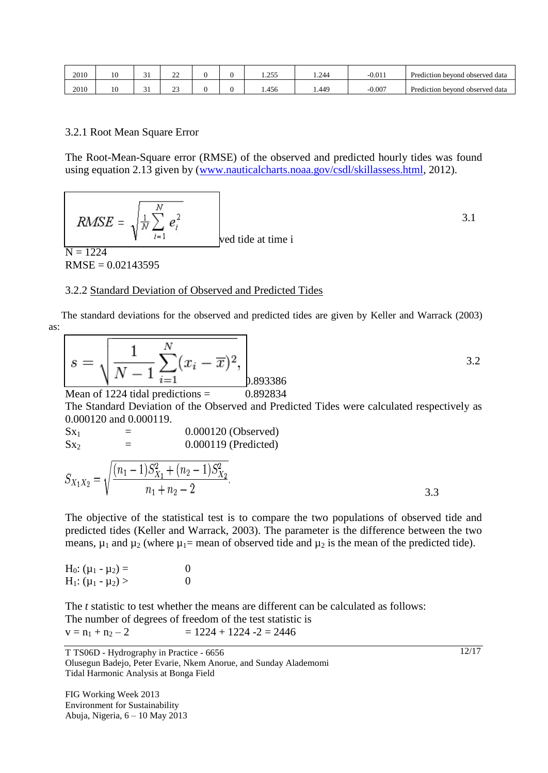| 2010 | 10 | ∽<br>◡ | $\sim$<br>∸   |  | 255<br>ر رے د | 1.244 | $-0.011$ | Prediction bevond observed data |
|------|----|--------|---------------|--|---------------|-------|----------|---------------------------------|
| 2010 | 10 | ັ      | $\sim$<br>ن ک |  | .456          | 449.ء | $-0.007$ | Prediction beyond observed data |

#### 3.2.1 Root Mean Square Error

The Root-Mean-Square error (RMSE) of the observed and predicted hourly tides was found using equation 2.13 given by [\(www.nauticalcharts.noaa.gov/csdl/skillassess.html,](http://www.nauticalcharts.noaa.gov/csdl/skillassess.html) 2012).

$$
RMSE = \sqrt{\frac{1}{N} \sum_{i=1}^{N} e_i^2}
$$
 3.1  
ved tide at time i

 $RMSE = 0.02143595$ 

#### 3.2.2 Standard Deviation of Observed and Predicted Tides

 The standard deviations for the observed and predicted tides are given by Keller and Warrack (2003) as:

$$
s = \sqrt{\frac{1}{N-1} \sum_{i=1}^{N} (x_i - \overline{x})^2}, \qquad (3.2)
$$

Mean of 1224 tidal predictions  $=$  0.892834

The Standard Deviation of the Observed and Predicted Tides were calculated respectively as 0.000120 and 0.000119.

$$
Sx_1
$$
 = 0.000120 (Observed)  
\n $Sx_2$  = 0.000119 (Predicted)

$$
S_{X_1X_2} = \sqrt{\frac{(n_1 - 1)S_{X_1}^2 + (n_2 - 1)S_{X_2}^2}{n_1 + n_2 - 2}}.
$$

The objective of the statistical test is to compare the two populations of observed tide and predicted tides (Keller and Warrack, 2003). The parameter is the difference between the two means,  $\mu_1$  and  $\mu_2$  (where  $\mu_1$ = mean of observed tide and  $\mu_2$  is the mean of the predicted tide).

$$
H_0: (\mu_1 - \mu_2) = 0
$$
  
\n
$$
H_1: (\mu_1 - \mu_2) > 0
$$

The *t* statistic to test whether the means are different can be calculated as follows: The number of degrees of freedom of the test statistic is  $v = n_1 + n_2 - 2$   $= 1224 + 1224 - 2 = 2446$ 

12/17

T TS06D - Hydrography in Practice - 6656 Olusegun Badejo, Peter Evarie, Nkem Anorue, and Sunday Alademomi Tidal Harmonic Analysis at Bonga Field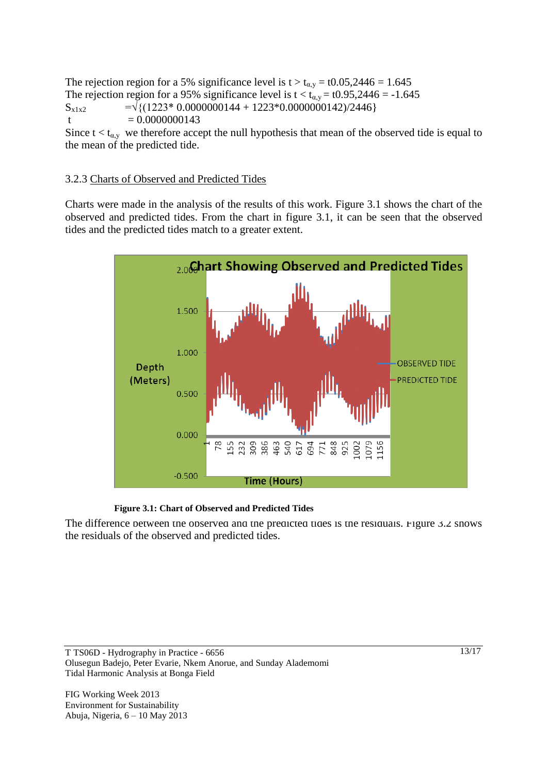The rejection region for a 5% significance level is  $t > t_{\alpha,y} = t0.05,2446 = 1.645$ The rejection region for a 95% significance level is  $t < t_{\alpha,y} = t0.95,2446 = -1.645$  $S_{x1x2}$  =  $\sqrt{(1223*0.0000000144 + 1223*0.0000000142)/2446}$ t  $= 0.0000000143$ Since  $t < t_{\alpha,y}$  we therefore accept the null hypothesis that mean of the observed tide is equal to

## 3.2.3 Charts of Observed and Predicted Tides

the mean of the predicted tide.

Charts were made in the analysis of the results of this work. Figure 3.1 shows the chart of the observed and predicted tides. From the chart in figure 3.1, it can be seen that the observed tides and the predicted tides match to a greater extent.



#### **Figure 3.1: Chart of Observed and Predicted Tides**

The difference between the observed and the predicted tides is the residuals. Figure 3.2 shows the residuals of the observed and predicted tides.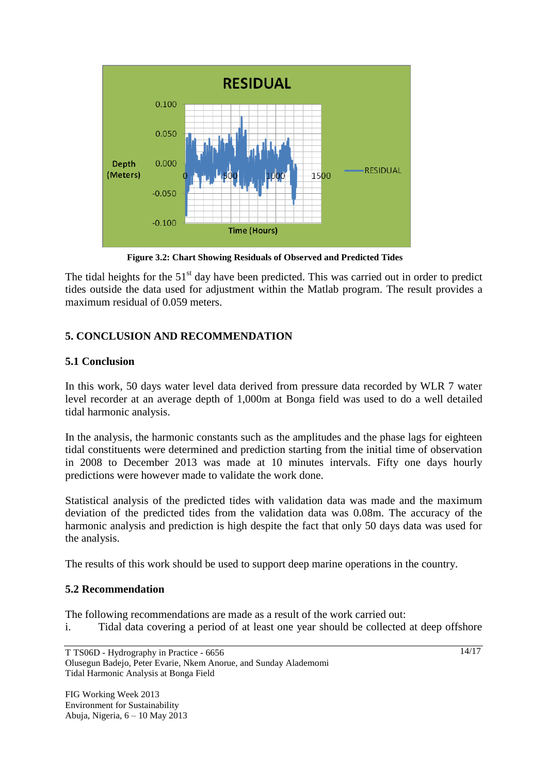

 **Figure 3.2: Chart Showing Residuals of Observed and Predicted Tides**

The tidal heights for the  $51<sup>st</sup>$  day have been predicted. This was carried out in order to predict tides outside the data used for adjustment within the Matlab program. The result provides a maximum residual of 0.059 meters.

# **5. CONCLUSION AND RECOMMENDATION**

## **5.1 Conclusion**

In this work, 50 days water level data derived from pressure data recorded by WLR 7 water level recorder at an average depth of 1,000m at Bonga field was used to do a well detailed tidal harmonic analysis.

In the analysis, the harmonic constants such as the amplitudes and the phase lags for eighteen tidal constituents were determined and prediction starting from the initial time of observation in 2008 to December 2013 was made at 10 minutes intervals. Fifty one days hourly predictions were however made to validate the work done.

Statistical analysis of the predicted tides with validation data was made and the maximum deviation of the predicted tides from the validation data was 0.08m. The accuracy of the harmonic analysis and prediction is high despite the fact that only 50 days data was used for the analysis.

The results of this work should be used to support deep marine operations in the country.

## **5.2 Recommendation**

The following recommendations are made as a result of the work carried out:

i. Tidal data covering a period of at least one year should be collected at deep offshore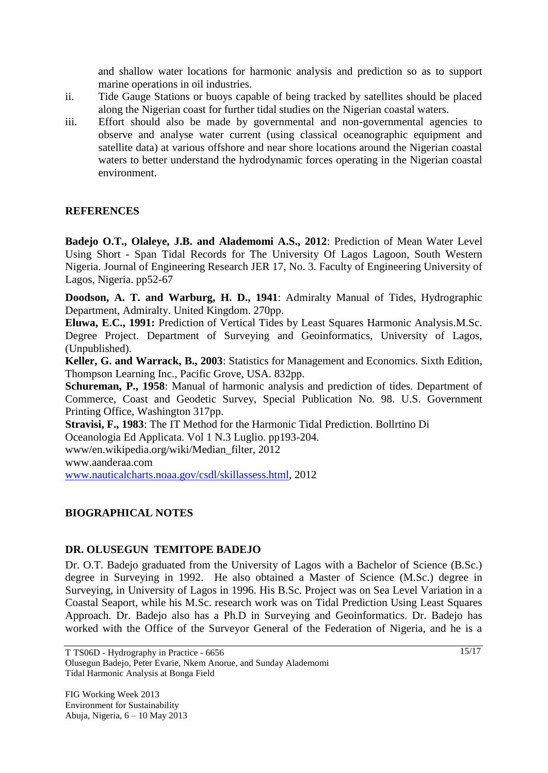and shallow water locations for harmonic analysis and prediction so as to support marine operations in oil industries.

- ii. Tide Gauge Stations or buoys capable of being tracked by satellites should be placed along the Nigerian coast for further tidal studies on the Nigerian coastal waters.
- iii. Effort should also be made by governmental and non-governmental agencies to observe and analyse water current (using classical oceanographic equipment and satellite data) at various offshore and near shore locations around the Nigerian coastal waters to better understand the hydrodynamic forces operating in the Nigerian coastal environment.

## **REFERENCES**

**Badejo O.T., Olaleye, J.B. and Alademomi A.S., 2012**: Prediction of Mean Water Level Using Short - Span Tidal Records for The University Of Lagos Lagoon, South Western Nigeria. Journal of Engineering Research JER 17, No. 3. Faculty of Engineering University of Lagos, Nigeria. pp52-67

**Doodson, A. T. and Warburg, H. D., 1941**: Admiralty Manual of Tides, Hydrographic Department, Admiralty. United Kingdom. 270pp.

**Eluwa, E.C., 1991:** Prediction of Vertical Tides by Least Squares Harmonic Analysis.M.Sc. Degree Project. Department of Surveying and Geoinformatics, University of Lagos, (Unpublished).

**Keller, G. and Warrack, B., 2003**: Statistics for Management and Economics. Sixth Edition, Thompson Learning Inc., Pacific Grove, USA. 832pp.

**Schureman, P., 1958**: Manual of harmonic analysis and prediction of tides. Department of Commerce, Coast and Geodetic Survey, Special Publication No. 98. U.S. Government Printing Office, Washington 317pp.

**Stravisi, F., 1983**: The IT Method for the Harmonic Tidal Prediction. Bollrtino Di Oceanologia Ed Applicata. Vol 1 N.3 Luglio. pp193-204.

www/en.wikipedia.org/wiki/Median\_filter, 2012

www.aanderaa.com

[www.nauticalcharts.noaa.gov/csdl/skillassess.html,](http://www.nauticalcharts.noaa.gov/csdl/skillassess.html) 2012

## **BIOGRAPHICAL NOTES**

## **DR. OLUSEGUN TEMITOPE BADEJO**

Dr. O.T. Badejo graduated from the University of Lagos with a Bachelor of Science (B.Sc.) degree in Surveying in 1992. He also obtained a Master of Science (M.Sc.) degree in Surveying, in University of Lagos in 1996. His B.Sc. Project was on Sea Level Variation in a Coastal Seaport, while his M.Sc. research work was on Tidal Prediction Using Least Squares Approach. Dr. Badejo also has a Ph.D in Surveying and Geoinformatics. Dr. Badejo has worked with the Office of the Surveyor General of the Federation of Nigeria, and he is a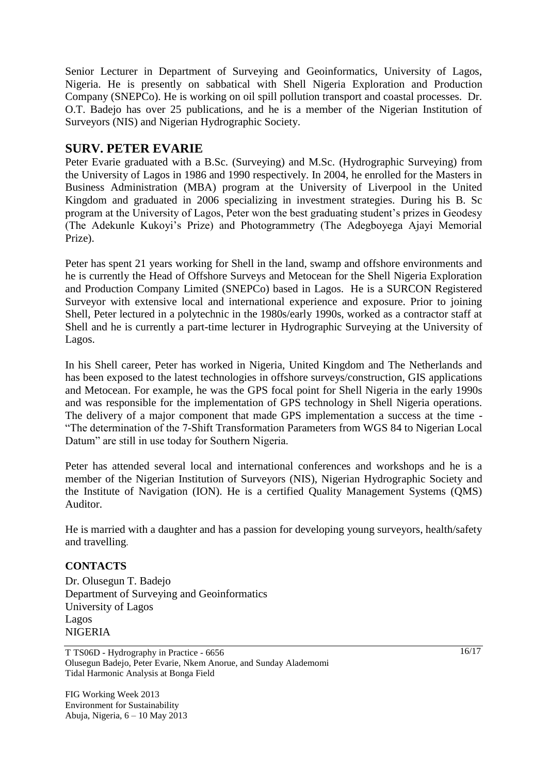Senior Lecturer in Department of Surveying and Geoinformatics, University of Lagos, Nigeria. He is presently on sabbatical with Shell Nigeria Exploration and Production Company (SNEPCo). He is working on oil spill pollution transport and coastal processes. Dr. O.T. Badejo has over 25 publications, and he is a member of the Nigerian Institution of Surveyors (NIS) and Nigerian Hydrographic Society.

## **SURV. PETER EVARIE**

Peter Evarie graduated with a B.Sc. (Surveying) and M.Sc. (Hydrographic Surveying) from the University of Lagos in 1986 and 1990 respectively. In 2004, he enrolled for the Masters in Business Administration (MBA) program at the University of Liverpool in the United Kingdom and graduated in 2006 specializing in investment strategies. During his B. Sc program at the University of Lagos, Peter won the best graduating student's prizes in Geodesy (The Adekunle Kukoyi's Prize) and Photogrammetry (The Adegboyega Ajayi Memorial Prize).

Peter has spent 21 years working for Shell in the land, swamp and offshore environments and he is currently the Head of Offshore Surveys and Metocean for the Shell Nigeria Exploration and Production Company Limited (SNEPCo) based in Lagos. He is a SURCON Registered Surveyor with extensive local and international experience and exposure. Prior to joining Shell, Peter lectured in a polytechnic in the 1980s/early 1990s, worked as a contractor staff at Shell and he is currently a part-time lecturer in Hydrographic Surveying at the University of Lagos.

In his Shell career, Peter has worked in Nigeria, United Kingdom and The Netherlands and has been exposed to the latest technologies in offshore surveys/construction, GIS applications and Metocean. For example, he was the GPS focal point for Shell Nigeria in the early 1990s and was responsible for the implementation of GPS technology in Shell Nigeria operations. The delivery of a major component that made GPS implementation a success at the time - "The determination of the 7-Shift Transformation Parameters from WGS 84 to Nigerian Local Datum" are still in use today for Southern Nigeria.

Peter has attended several local and international conferences and workshops and he is a member of the Nigerian Institution of Surveyors (NIS), Nigerian Hydrographic Society and the Institute of Navigation (ION). He is a certified Quality Management Systems (QMS) Auditor.

He is married with a daughter and has a passion for developing young surveyors, health/safety and travelling.

#### **CONTACTS**

Dr. Olusegun T. Badejo Department of Surveying and Geoinformatics University of Lagos Lagos NIGERIA

T TS06D - Hydrography in Practice - 6656 Olusegun Badejo, Peter Evarie, Nkem Anorue, and Sunday Alademomi Tidal Harmonic Analysis at Bonga Field